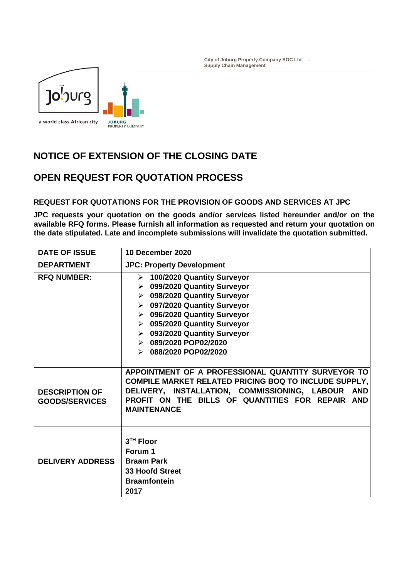

## **NOTICE OF EXTENSION OF THE CLOSING DATE**

## **OPEN REQUEST FOR QUOTATION PROCESS**

## **REQUEST FOR QUOTATIONS FOR THE PROVISION OF GOODS AND SERVICES AT JPC**

**JPC requests your quotation on the goods and/or services listed hereunder and/or on the available RFQ forms. Please furnish all information as requested and return your quotation on the date stipulated. Late and incomplete submissions will invalidate the quotation submitted.**

| <b>DATE OF ISSUE</b>                           | 10 December 2020                                                                                                                                                                                                                                                                                                                                                                        |
|------------------------------------------------|-----------------------------------------------------------------------------------------------------------------------------------------------------------------------------------------------------------------------------------------------------------------------------------------------------------------------------------------------------------------------------------------|
| <b>DEPARTMENT</b>                              | <b>JPC: Property Development</b>                                                                                                                                                                                                                                                                                                                                                        |
| <b>RFQ NUMBER:</b>                             | > 100/2020 Quantity Surveyor<br>099/2020 Quantity Surveyor<br>$\blacktriangleright$<br>098/2020 Quantity Surveyor<br>≻<br>097/2020 Quantity Surveyor<br>$\blacktriangleright$<br>096/2020 Quantity Surveyor<br>≻<br>095/2020 Quantity Surveyor<br>$\blacktriangleright$<br>▶ 093/2020 Quantity Surveyor<br>$\triangleright$ 089/2020 POP02/2020<br>$\triangleright$ 088/2020 POP02/2020 |
| <b>DESCRIPTION OF</b><br><b>GOODS/SERVICES</b> | APPOINTMENT OF A PROFESSIONAL QUANTITY SURVEYOR TO<br><b>COMPILE MARKET RELATED PRICING BOQ TO INCLUDE SUPPLY,</b><br>DELIVERY, INSTALLATION, COMMISSIONING, LABOUR AND<br>PROFIT ON THE BILLS OF QUANTITIES FOR REPAIR AND<br><b>MAINTENANCE</b>                                                                                                                                       |
| <b>DELIVERY ADDRESS</b>                        | 3 <sup>TH</sup> Floor<br>Forum 1<br><b>Braam Park</b><br><b>33 Hoofd Street</b><br><b>Braamfontein</b><br>2017                                                                                                                                                                                                                                                                          |